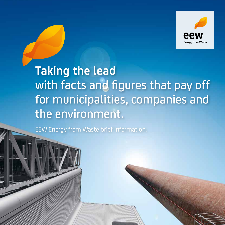

# **Taking the lead** with facts and figures that pay off for municipalities, companies and the environment.

EEW Energy from Waste brief information.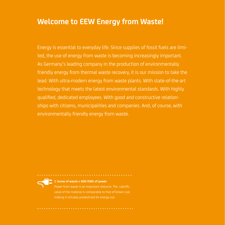# **Welcome to EEW Energy from Waste!**

Energy is essential to everyday life. Since supplies of fossil fuels are limited, the use of energy from waste is becoming increasingly important. As Germany's leading company in the production of environmentally friendly energy from thermal waste recovery, it is our mission to take the lead: With ultra-modern energy from waste plants. With state-of-the-art technology that meets the latest environmental standards. With highly qualified, dedicated employees. With good and constructive relationships with citizens, municipalities and companies. And, of course, with environmentally friendly energy from waste.



**1 tonne of waste = 600 KWh of power**

Power from waste is an important resource. The calorific value of the material is comparable to that of brown coal making it virtually predestined for energy use.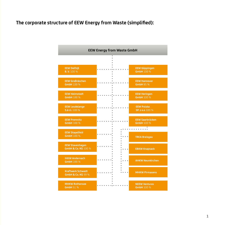### **The corporate structure of EEW Energy from Waste (simplified):**

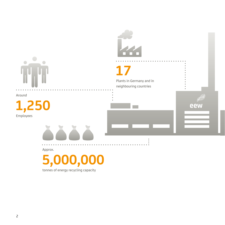

# **17**

Plants in Germany and in neighbouring countries

ساري

eew

Around





Approx.

 **5,000,000**

tonnes of energy recycling capacity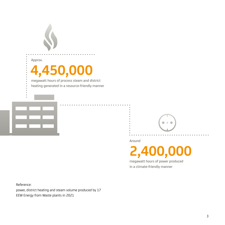

Approx.

# **4,450,000**

megawatt hours of process steam and district heating generated in a resource-friendly manner



Around

**2,400,000** 

 $\Rightarrow$ 

megawatt hours of power produced in a climate-friendly manner

Reference:

power, district heating and steam volume produced by 17 EEW Energy from Waste plants in 2021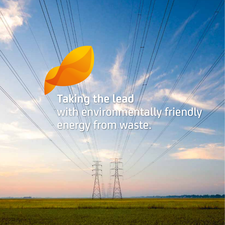# **Taking the lead** with environmentally friendly energy from waste.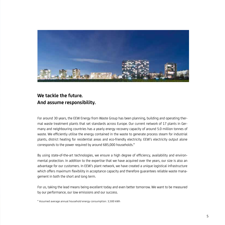

### **We tackle the future. And assume responsibility.**

For around 30 years, the EEW Energy from Waste Group has been planning, building and operating thermal waste treatment plants that set standards across Europe. Our current network of 17 plants in Germany and neighbouring countries has a yearly energy recovery capacity of around 5.0 million tonnes of waste. We efficiently utilise the energy contained in the waste to generate process steam for industrial plants, district heating for residential areas and eco-friendly electricity. EEW's electricity output alone corresponds to the power required by around 685,000 households.\*

By using state-of-the-art technologies, we ensure a high degree of efficiency, availability and environmental protection. In addition to the expertise that we have acquired over the years, our size is also an advantage for our customers. In EEW's plant network, we have created a unique logistical infrastructure which offers maximum flexibility in acceptance capacity and therefore guarantees reliable waste management in both the short and long term.

For us, taking the lead means being excellent today and even better tomorrow. We want to be measured by our performance, our low emissions and our success.

\* Assumed average annual household energy consumption: 3,500 kWh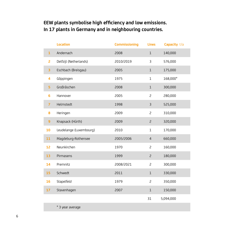# **EEW plants symbolise high efficiency and low emissions. In 17 plants in Germany and in neighbouring countries.**

|                | <b>Location</b>         | <b>Commissioning</b> | <b>Lines</b>   | Capacity t/a |
|----------------|-------------------------|----------------------|----------------|--------------|
| $\mathbf{1}$   | Andernach               | 2008                 | $1\,$          | 140,000      |
| $\overline{c}$ | Delfzijl (Netherlands)  | 2010/2019            | 3              | 576,000      |
| 3              | Eschbach (Breisgau)     | 2005                 | $1\,$          | 175,000      |
| 4              | Göppingen               | 1975                 | $1\,$          | 168,000*     |
| 5              | Großräschen             | 2008                 | $1\,$          | 300,000      |
| 6              | Hannover                | 2005                 | $\overline{c}$ | 280,000      |
| $\overline{7}$ | Helmstedt               | 1998                 | $\overline{3}$ | 525,000      |
| 8              | Heringen                | 2009                 | $\overline{c}$ | 310,000      |
| $\overline{9}$ | Knapsack (Hürth)        | 2009                 | $\overline{c}$ | 320,000      |
| 10             | Leudelange (Luxembourg) | 2010                 | $1\,$          | 170,000      |
| 11             | Magdeburg-Rothensee     | 2005/2006            | $\overline{4}$ | 660,000      |
| 12             | Neunkirchen             | 1970                 | $\overline{c}$ | 160,000      |
| 13             | Pirmasens               | 1999                 | $\overline{c}$ | 180,000      |
| 14             | Premnitz                | 2008/2021            | $\overline{c}$ | 300,000      |
| 15             | Schwedt                 | 2011                 | $\mathbf 1$    | 330,000      |
| 16             | Stapelfeld              | 1979                 | $\overline{c}$ | 350,000      |
| 17             | Stavenhagen             | 2007                 | $1\,$          | 150,000      |
|                |                         |                      | 31             | 5,094,000    |
|                | * 3 year average        |                      |                |              |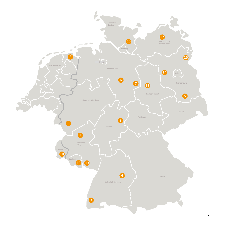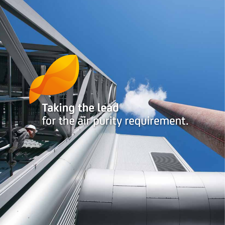# **Taking the lead** for the air purity requirement.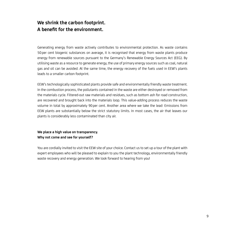### **We shrink the carbon footprint. A benefit for the environment.**

Generating energy from waste actively contributes to environmental protection. As waste contains 50per cent biogenic substances on average, it is recognised that energy from waste plants produce energy from renewable sources pursuant to the Germany's Renewable Energy Sources Act (EEG). By utilising waste as a resource to generate energy, the use of primary energy sources such as coal, natural gas and oil can be avoided. At the same time, the energy recovery of the fuels used in EEW's plants leads to a smaller carbon footprint.

EEW's technologically sophisticated plants provide safe and environmentally friendly waste treatment. In the combustion process, the pollutants contained in the waste are either destroyed or removed from the materials cycle. Filtered-out raw materials and residues, such as bottom ash for road construction, are recovered and brought back into the materials loop. This value-adding process reduces the waste volume in total by approximately 90per cent. Another area where we take the lead: Emissions from EEW plants are substantially below the strict statutory limits. In most cases, the air that leaves our plants is considerably less contaminated than city air.

#### **We place a high value on transparency. Why not come and see for yourself?**

You are cordially invited to visit the EEW site of your choice. Contact us to set up a tour of the plant with expert employees who will be pleased to explain to you the plant technology, environmentally friendly waste recovery and energy generation. We look forward to hearing from you!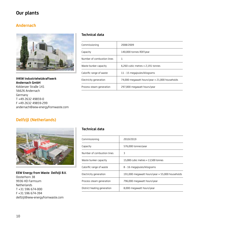### **Our plants**

#### **Andernach**



**IHKW Industrieheizkraftwerk Andernach GmbH** Koblenzer Straße 141 56626 Andernach Germany T +49 2632 49859-0 F +49 2632 49859-299 andernach@eew-energyfromwaste.com

### **Delfzijl (Netherlands)**



#### **EEW Energy from Waste Delfzijl B.V.** Oosterhorn 38 9936 HD Farmsum Netherlands T +31 596 674-000 F +31 596 674-394 delfzijl@eew-energyfromwaste.com

#### **Technical data**

| Commissioning              | 2008/2009                                              |
|----------------------------|--------------------------------------------------------|
| Capacity                   | 140,000 tonnes RDF/year                                |
| Number of combustion lines | 1                                                      |
| Waste bunker capacity      | 6,260 cubic metres $\approx$ 2,191 tonnes              |
| Calorific range of waste   | 11 - 15 megajoules/kilograms                           |
| Electricity generation     | 74,000 megawatt hours/year $\approx$ 21,000 households |
| Process steam generation   | 297,000 megawatt hours/year                            |

| Commissioning               | 2010/2019                                               |
|-----------------------------|---------------------------------------------------------|
| Capacity                    | 576,000 tonnes/year                                     |
| Number of combustion lines  | 3                                                       |
| Waste bunker capacity       | 15,000 cubic metres $\approx$ 13,500 tonnes             |
| Calorific range of waste    | 8 - 16 megajoules/kilograms                             |
| Electricity generation      | 191,000 megawatt hours/year $\approx$ 55,000 households |
| Process steam generation    | 796,000 megawatt hours/year                             |
| District heating generation | 8,000 megawatt hours/year                               |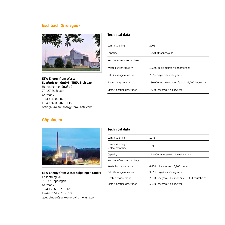#### **Eschbach (Breisgau)**



**EEW Energy from Waste Saarbrücken GmbH - TREA Breisgau** Heitersheimer Straße 2 79427 Eschbach Germany T +49 7634 5079-0 F +49 7634 5079-135 breisgau@eew-energyfromwaste.com

#### **Technical data**

| Commissioning               | 2005                                                    |
|-----------------------------|---------------------------------------------------------|
| Capacity                    | 175,000 tonnes/year                                     |
| Number of combustion lines  | 1                                                       |
| Waste bunker capacity       | 10,000 cubic metres $\approx$ 5,000 tonnes              |
| Calorific range of waste    | 7 - 16 megajoules/kilograms                             |
| Electricity generation      | 130,000 megawatt hours/year $\approx$ 37,000 households |
| District heating generation | 14,000 megawatt hours/year                              |

### **Göppingen**



**EEW Energy from Waste Göppingen GmbH** Iltishofweg 40 73037 Göppingen Germany T +49 7161 6716-121 F +49 7161 6716-210 goeppingen@eew-energyfromwaste.com

| Commissioning                     | 1975                                           |
|-----------------------------------|------------------------------------------------|
| Commissioning<br>replacement line | 1998                                           |
| Capacity                          | 168,000 tonnes/year - 3 year average           |
| Number of combustion lines        | 1                                              |
| Waste bunker capacity             | 6,400 cubic metres $\approx$ 3,200 tonnes      |
| Calorific range of waste          | 9 - 11 megajoules/kilograms                    |
| Electricity generation            | 75,000 megawatt hours/year ≈ 21,000 households |
| District heating generation       | 59,000 megawatt hours/year                     |
|                                   |                                                |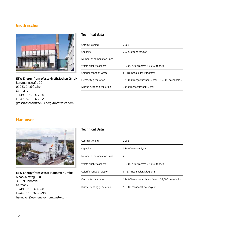#### **Großräschen**



**EEW Energy from Waste Großräschen GmbH** Bergmannstraße 29 01983 Großräschen Germany T +49 35753 377-50 F +49 35753 377-52 grossraeschen@eew-energyfromwaste.com

#### **Technical data**

| Commissioning               | 2008                                                    |
|-----------------------------|---------------------------------------------------------|
| Capacity                    | 292,500 tonnes/year                                     |
| Number of combustion lines  |                                                         |
| Waste bunker capacity       | 12,000 cubic metres $\approx$ 6,000 tonnes              |
| Calorific range of waste    | 8 - 18 megajoules/kilograms                             |
| Electricity generation      | 171,000 megawatt hours/year $\approx$ 49,000 households |
| District heating generation | 3.000 megawatt hours/year                               |

#### **Hannover**



#### **EEW Energy from Waste Hannover GmbH** Moorwaldweg 310 30659 Hannover Germany T +49 511 336397-0 F +49 511 336397-90 hannover@eew-energyfromwaste.com

| Commissioning               | 2005                                            |
|-----------------------------|-------------------------------------------------|
| Capacity                    | 280,000 tonnes/year                             |
| Number of combustion lines  | 2                                               |
| Waste bunker capacity       | 10,000 cubic metres $\approx$ 5,000 tonnes      |
| Calorific range of waste    | 8 - 17 megajoules/kilograms                     |
| Electricity generation      | 184,000 megawatt hours/year ≈ 53,000 households |
| District heating generation | 99,000 megawatt hours/year                      |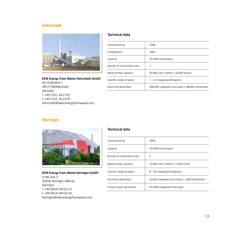#### **Helmstedt**



**EEW Energy from Waste Helmstedt GmbH** Am Kraftwerk 2 38372 Büddenstedt Germany T +49 5351 18-2335 F +49 5351 18-2379 helmstedt@eew-energyfromwaste.com

#### **Technical data**

| Commissioning              | 1998                                                    |
|----------------------------|---------------------------------------------------------|
| Enlargement                | 2005                                                    |
| Capacity                   | 525,000 tonnes/year                                     |
| Number of combustion lines | 3                                                       |
| Waste bunker capacity      | 20.000 cubic metres $\approx$ 10.000 tonnes             |
| Calorific range of waste   | 7 - 12 megajoules/kilograms                             |
| Electricity generation     | 308,000 megawatt hours/year $\approx$ 88,000 households |

#### **Heringen**



**EEW Energy from Waste Heringen GmbH** In der Aue 3 36266 Heringen (Werra) Germany T +49 6624 54210-13 F +49 6624 54210-20 heringen@eew-energyfromwaste.com

| Commissioning              | 2009                                                  |
|----------------------------|-------------------------------------------------------|
| Capacity                   | 297,600 tonnes/year                                   |
| Number of combustion lines | 2                                                     |
| Waste bunker capacity      | 15.000 cubic metres $\approx$ 7.500 tonnes            |
| Calorific range of waste   | 8 - 18 megajoules/kilograms                           |
| Electricity generation     | 10,000 megawatt hours/year $\approx$ 3,000 households |
| Process steam generation   | 953,000 megawatt hours/year                           |
|                            |                                                       |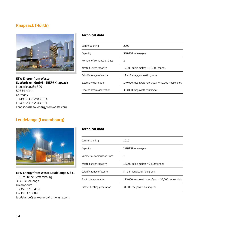#### **Knapsack (Hürth)**



**EEW Energy from Waste Saarbrücken GmbH - EBKW Knapsack** Industriestraße 300 50354 Hürth Germany T +49 2233 92844-114 F +49 2233 92844-111 knapsack@eew-energyfromwaste.com

#### **Leudelange (Luxembourg)**



#### **EEW Energy from Waste Leudelange S.à r.l.** 100, route de Bettembourg

3346 Leudelange Luxembourg T +352 37 8541-1 F +352 37 8689 leudelange@eew-energyfromwaste.com

#### **Technical data**

| Commissioning              | 2009                                                    |
|----------------------------|---------------------------------------------------------|
| Capacity                   | 320,000 tonnes/year                                     |
| Number of combustion lines | 2                                                       |
| Waste bunker capacity      | 17,000 cubic metres $\approx$ 10,000 tonnes             |
| Calorific range of waste   | 11 - 17 megajoules/kilograms                            |
| Electricity generation     | 140,000 megawatt hours/year $\approx$ 40,000 households |
| Process steam generation   | 363,000 megawatt hours/year                             |

| Commissioning               | 2010                                                    |
|-----------------------------|---------------------------------------------------------|
| Capacity                    | 170,000 tonnes/year                                     |
| Number of combustion lines  | 1                                                       |
| Waste bunker capacity       | 13,000 cubic metres $\approx$ 7,500 tonnes              |
| Calorific range of waste    | 8 - 14 megajoules/kilograms                             |
| Electricity generation      | 115,000 megawatt hours/year $\approx$ 33,000 households |
| District heating generation | 31,000 megawatt hours/year                              |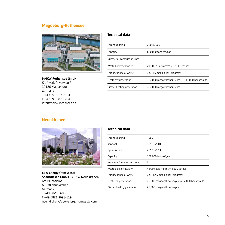#### **Magdeburg-Rothensee**



#### **MHKW Rothensee GmbH**

Kraftwerk-Privatweg 7 39126 Magdeburg Germany T +49 391 587-2534 F +49 391 587-1764 info@mhkw-rothensee.de

#### **Technical data**

| Commissioning               | 2005/2006                                                |
|-----------------------------|----------------------------------------------------------|
| Capacity                    | 660,000 tonnes/year                                      |
| Number of combustion lines  | 4                                                        |
| Waste bunker capacity       | 24,000 cubic metres $\approx$ 12,000 tonnes              |
| Calorific range of waste    | 7.5 - 15 megajoules/kilograms                            |
| Electricity generation      | 387,000 megawatt hours/year $\approx$ 111,000 households |
| District heating generation | 437,000 megawatt hours/year                              |

#### **Neunkirchen**



#### **EEW Energy from Waste Saarbrücken GmbH - AHKW Neunkirchen**

Am Blücherflöz 12 66538 Neunkirchen Germany T +49 6821 8698-0 F +49 6821 8698-119 neunkirchen@eew-energyfromwaste.com

| Commissioning               | 1969                                                   |
|-----------------------------|--------------------------------------------------------|
| Renewal                     | 1996 - 2001                                            |
| Optimization                | 2010 - 2011                                            |
| Capacity                    | 160,000 tonnes/year                                    |
| Number of combustion lines  | 2                                                      |
| Waste bunker capacity       | 4,000 cubic metres $\approx$ 2,500 tonnes              |
| Calorific range of waste    | 7.5 - 12.5 megajoules/kilograms                        |
| Electricity generation      | 76,000 megawatt hours/year $\approx$ 22,000 households |
| District heating generation | 27,000 megawatt hours/year                             |
|                             |                                                        |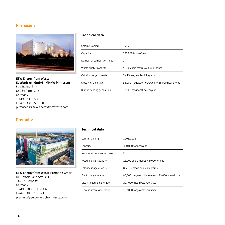#### **Pirmasens**



**EEW Energy from Waste Saarbrücken GmbH - MHKW Pirmasens** Staffelberg 2 - 4 66954 Pirmasens Germany T +49 6331 5536-0 F +49 6331 5536-60 pirmasens@eew-energyfromwaste.com

#### **Technical data**

| Commissioning               | 1999                                                   |
|-----------------------------|--------------------------------------------------------|
| Capacity                    | 180,000 tonnes/year                                    |
| Number of combustion lines  | 2                                                      |
| Waste bunker capacity       | 5,300 cubic metres $\approx$ 3,000 tonnes              |
| Calorific range of waste    | 7 - 15 megajoules/kilograms                            |
| Electricity generation      | 98,000 megawatt hours/year $\approx$ 28,000 households |
| District heating generation | 38,000 megawatt hours/year                             |

### **Premnitz**



#### **EEW Energy from Waste Premnitz GmbH** Dr.-Herbert-Rein-Straße 1 14727 Premnitz

Germany T +49 3386 21387-3370 F +49 3386 21387-3352 premnitz@eew-energyfromwaste.com

| Commissioning               | 2008/2021                                              |
|-----------------------------|--------------------------------------------------------|
| Capacity                    | 300,000 tonnes/year                                    |
| Number of combustion lines  | 2                                                      |
| Waste bunker capacity       | 18,000 cubic metres $\approx$ 9,000 tonnes             |
| Calorific range of waste    | 8.5 - 16 megajoules/kilograms                          |
| Electricity generation      | 80,000 megawatt hours/year $\approx$ 23,000 households |
| District heating generation | 207,000 megawatt hours/year                            |
| Process steam generation    | 127,000 megawatt hours/year                            |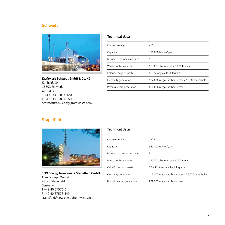#### **Schwedt**



**Kraftwerk Schwedt GmbH & Co. KG** Kuhheide 34 16303 Schwedt Germany T +49 3332 5814-120 F +49 3332 5814-250 schwedt@eew-energyfromwaste.com

#### **Technical data**

| Commissioning              | 2011                                                    |
|----------------------------|---------------------------------------------------------|
| Capacity                   | 330,000 tonnes/year                                     |
| Number of combustion lines |                                                         |
| Waste bunker capacity      | 17.000 cubic metres $\approx$ 5.000 tonnes              |
| Calorific range of waste   | 8 - 25 megajoules/kilograms                             |
| Electricity generation     | 174,000 megawatt hours/year $\approx$ 50,000 households |
| Process steam generation   | 664,000 megawatt hours/year                             |

#### **Stapelfeld**



**EEW Energy from Waste Stapelfeld GmbH**

Ahrensburger Weg 4 22145 Stapelfeld Germany T +49 40 67576-0 F +49 40 67576-549 stapelfeld@eew-energyfromwaste.com

| Commissioning               | 1979                                                    |
|-----------------------------|---------------------------------------------------------|
| Capacity                    | 350,000 tonnes/year                                     |
| Number of combustion lines  | 2                                                       |
| Waste bunker capacity       | 12.000 cubic metres $\approx 6.000$ tonnes              |
| Calorific range of waste    | 7.5 - 12.5 megajoules/kilograms                         |
| Electricity generation      | 113,000 megawatt hours/year $\approx$ 32,000 households |
| District heating generation | 229,000 megawatt hours/year                             |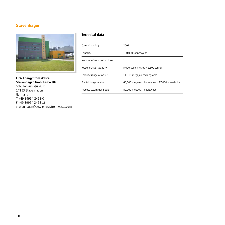#### **Stavenhagen**



**EEW Energy from Waste Stavenhagen GmbH & Co. KG** Schultetusstraße 43 b 17153 Stavenhagen Germany T +49 39954 2462-0 F +49 39954 2462-16 stavenhagen@eew-energyfromwaste.com

| Commissioning              | 2007                                                   |
|----------------------------|--------------------------------------------------------|
| Capacity                   | 150,000 tonnes/year                                    |
| Number of combustion lines |                                                        |
| Waste bunker capacity      | 5,000 cubic metres $\approx$ 2,500 tonnes              |
| Calorific range of waste   | 11 - 18 megajoules/kilograms                           |
| Electricity generation     | 60,000 megawatt hours/year $\approx$ 17,000 households |
| Process steam generation   | 89,000 megawatt hours/year                             |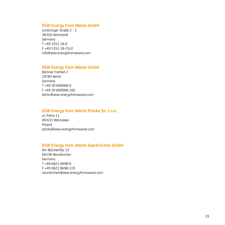#### **EEW Energy from Waste GmbH**

Schöninger Straße 2 - 3 38350 Helmstedt Germany T +49 5351 18-0 F +49 5351 18-2522 info@eew-energyfromwaste.com

#### **EEW Energy from Waste GmbH**

Berliner Freiheit 2 10785 Berlin Germany T +49 30 660068-0 F +49 30 660068-100 berlin@eew-energyfromwaste.com

#### **EEW Energy from Waste Polska Sp. z o.o.**

ul. Polna 11 00-633 Warszawa Poland polska@eew-energyfromwaste.com

#### **EEW Energy from Waste Saarbrücken GmbH**

Am Blücherflöz 12 66538 Neunkirchen Germany T +49 6821 8698-0 F +49 6821 8698-119 neunkirchen@eew-energyfromwaste.com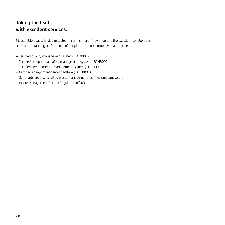## **Taking the lead with excellent services.**

Measurable quality is also reflected in certifications. They underline the excellent collaboration and the outstanding performance of our plants and our company headquarters.

- Certified quality management system (ISO 9001)
- Certified occupational safety management system (ISO 45001)
- Certified environmental management system (ISO 14001)
- Certified energy management system (ISO 50001)
- Our plants are also certified waste management facilities pursuant to the Waste Management Facility Regulation (EfbV)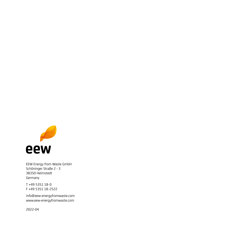

EEW Energy from Waste GmbH Schöninger Straße 2 - 3 38350 Helmstedt Germany

T +49 5351 18-0 F +49 5351 18-2522

info@eew-energyfromwaste.com www.eew-energyfromwaste.com

2022-04